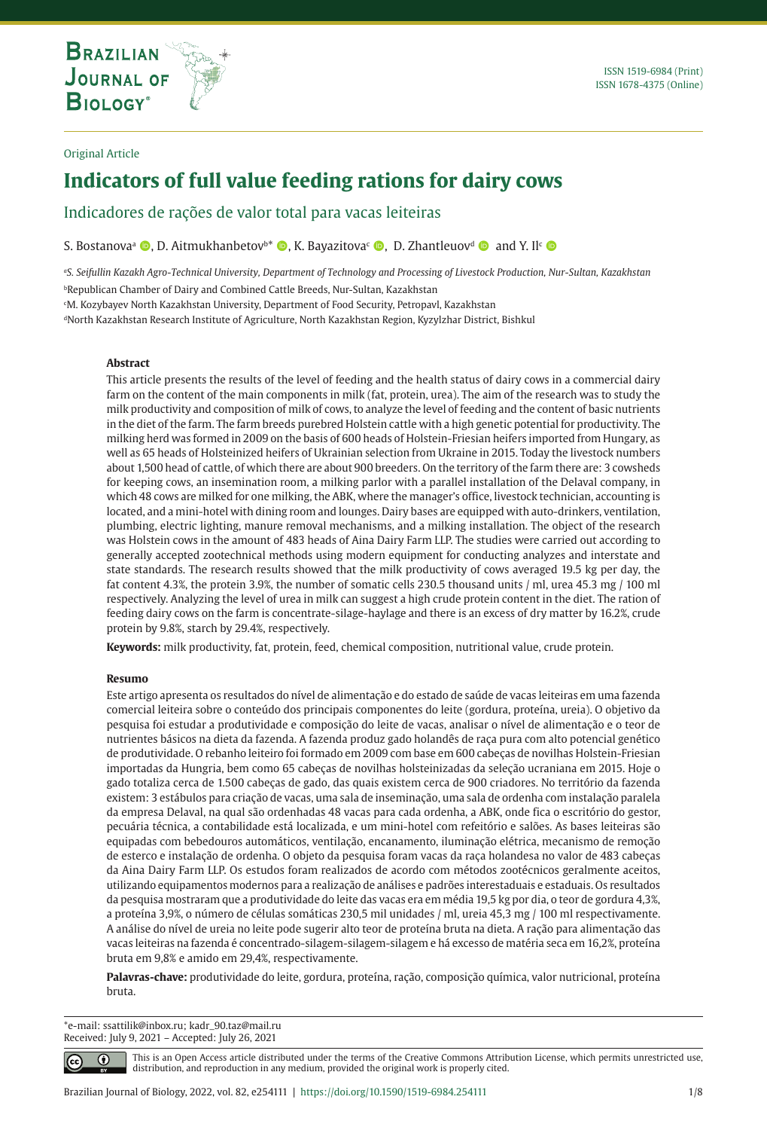**THE INTERNATIONAL JOURNAL ON GLOBAL BIODIVERSITY AND ENVIRONMENT**

## Original Article

# **Indicators of full value feeding rations for dairy cows**

Indicadores de rações de valor total para vacas leiteiras

S. Bostanova<sup>a</sup> **D**, D. Aitmukhanbetov<sup>b\*</sup> **D**, K. Bayazitova<sup>c</sup> **D**, D. Zhantleuov<sup>d</sup> **D** and Y. Il<sup>c</sup> **D** 

*a S. Seifullin Kazakh Agro-Technical University, Department of Technology and Processing of Livestock Production, Nur-Sultan, Kazakhstan* **PRepublican Chamber of Dairy and Combined Cattle Breeds, Nur-Sultan, Kazakhstan** 

c M. Kozybayev North Kazakhstan University, Department of Food Security, Petropavl, Kazakhstan

<sup>d</sup>North Kazakhstan Research Institute of Agriculture, North Kazakhstan Region, Kyzylzhar District, Bishkul

# **Abstract**

This article presents the results of the level of feeding and the health status of dairy cows in a commercial dairy farm on the content of the main components in milk (fat, protein, urea). The aim of the research was to study the milk productivity and composition of milk of cows, to analyze the level of feeding and the content of basic nutrients in the diet of the farm. The farm breeds purebred Holstein cattle with a high genetic potential for productivity. The milking herd was formed in 2009 on the basis of 600 heads of Holstein-Friesian heifers imported from Hungary, as well as 65 heads of Holsteinized heifers of Ukrainian selection from Ukraine in 2015. Today the livestock numbers about 1,500 head of cattle, of which there are about 900 breeders. On the territory of the farm there are: 3 cowsheds for keeping cows, an insemination room, a milking parlor with a parallel installation of the Delaval company, in which 48 cows are milked for one milking, the ABK, where the manager's office, livestock technician, accounting is located, and a mini-hotel with dining room and lounges. Dairy bases are equipped with auto-drinkers, ventilation, plumbing, electric lighting, manure removal mechanisms, and a milking installation. The object of the research was Holstein cows in the amount of 483 heads of Aina Dairy Farm LLP. The studies were carried out according to generally accepted zootechnical methods using modern equipment for conducting analyzes and interstate and state standards. The research results showed that the milk productivity of cows averaged 19.5 kg per day, the fat content 4.3%, the protein 3.9%, the number of somatic cells 230.5 thousand units / ml, urea 45.3 mg / 100 ml respectively. Analyzing the level of urea in milk can suggest a high crude protein content in the diet. The ration of feeding dairy cows on the farm is concentrate-silage-haylage and there is an excess of dry matter by 16.2%, crude protein by 9.8%, starch by 29.4%, respectively.

**Keywords:** milk productivity, fat, protein, feed, chemical composition, nutritional value, crude protein.

#### **Resumo**

Este artigo apresenta os resultados do nível de alimentação e do estado de saúde de vacas leiteiras em uma fazenda comercial leiteira sobre o conteúdo dos principais componentes do leite (gordura, proteína, ureia). O objetivo da pesquisa foi estudar a produtividade e composição do leite de vacas, analisar o nível de alimentação e o teor de nutrientes básicos na dieta da fazenda. A fazenda produz gado holandês de raça pura com alto potencial genético de produtividade. O rebanho leiteiro foi formado em 2009 com base em 600 cabeças de novilhas Holstein-Friesian importadas da Hungria, bem como 65 cabeças de novilhas holsteinizadas da seleção ucraniana em 2015. Hoje o gado totaliza cerca de 1.500 cabeças de gado, das quais existem cerca de 900 criadores. No território da fazenda existem: 3 estábulos para criação de vacas, uma sala de inseminação, uma sala de ordenha com instalação paralela da empresa Delaval, na qual são ordenhadas 48 vacas para cada ordenha, a ABK, onde fica o escritório do gestor, pecuária técnica, a contabilidade está localizada, e um mini-hotel com refeitório e salões. As bases leiteiras são equipadas com bebedouros automáticos, ventilação, encanamento, iluminação elétrica, mecanismo de remoção de esterco e instalação de ordenha. O objeto da pesquisa foram vacas da raça holandesa no valor de 483 cabeças da Aina Dairy Farm LLP. Os estudos foram realizados de acordo com métodos zootécnicos geralmente aceitos, utilizando equipamentos modernos para a realização de análises e padrões interestaduais e estaduais. Os resultados da pesquisa mostraram que a produtividade do leite das vacas era em média 19,5 kg por dia, o teor de gordura 4,3%, a proteína 3,9%, o número de células somáticas 230,5 mil unidades / ml, ureia 45,3 mg / 100 ml respectivamente. A análise do nível de ureia no leite pode sugerir alto teor de proteína bruta na dieta. A ração para alimentação das vacas leiteiras na fazenda é concentrado-silagem-silagem-silagem e há excesso de matéria seca em 16,2%, proteína bruta em 9,8% e amido em 29,4%, respectivamente.

**Palavras-chave:** produtividade do leite, gordura, proteína, ração, composição química, valor nutricional, proteína bruta.

\*e-mail: ssattilik@inbox.ru; kadr\_90.taz@mail.ru Received: July 9, 2021 – Accepted: July 26, 2021

 $\bigcirc$ 

This is an Open Access article distributed under the terms of the Creative Commons Attribution License, which permits unrestricted use, distribution, and reproduction in any medium, provided the original work is properly cited.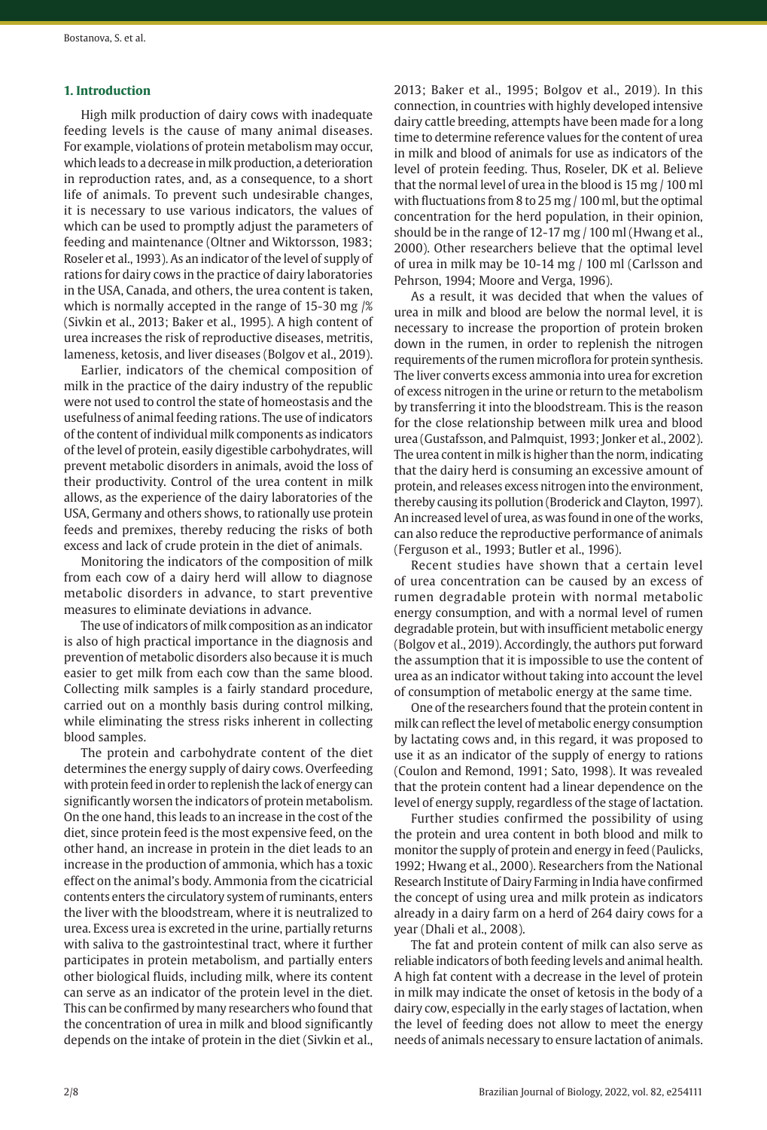## **1. Introduction**

High milk production of dairy cows with inadequate feeding levels is the cause of many animal diseases. For example, violations of protein metabolism may occur, which leads to a decrease in milk production, a deterioration in reproduction rates, and, as a consequence, to a short life of animals. To prevent such undesirable changes, it is necessary to use various indicators, the values of which can be used to promptly adjust the parameters of feeding and maintenance (Oltner and Wiktorsson, 1983; Roseler et al., 1993). As an indicator of the level of supply of rations for dairy cows in the practice of dairy laboratories in the USA, Canada, and others, the urea content is taken, which is normally accepted in the range of 15-30 mg /% (Sivkin et al., 2013; Baker et al., 1995). A high content of urea increases the risk of reproductive diseases, metritis, lameness, ketosis, and liver diseases (Bolgov et al., 2019).

Earlier, indicators of the chemical composition of milk in the practice of the dairy industry of the republic were not used to control the state of homeostasis and the usefulness of animal feeding rations. The use of indicators of the content of individual milk components as indicators of the level of protein, easily digestible carbohydrates, will prevent metabolic disorders in animals, avoid the loss of their productivity. Control of the urea content in milk allows, as the experience of the dairy laboratories of the USA, Germany and others shows, to rationally use protein feeds and premixes, thereby reducing the risks of both excess and lack of crude protein in the diet of animals.

Monitoring the indicators of the composition of milk from each cow of a dairy herd will allow to diagnose metabolic disorders in advance, to start preventive measures to eliminate deviations in advance.

The use of indicators of milk composition as an indicator is also of high practical importance in the diagnosis and prevention of metabolic disorders also because it is much easier to get milk from each cow than the same blood. Collecting milk samples is a fairly standard procedure, carried out on a monthly basis during control milking, while eliminating the stress risks inherent in collecting blood samples.

The protein and carbohydrate content of the diet determines the energy supply of dairy cows. Overfeeding with protein feed in order to replenish the lack of energy can significantly worsen the indicators of protein metabolism. On the one hand, this leads to an increase in the cost of the diet, since protein feed is the most expensive feed, on the other hand, an increase in protein in the diet leads to an increase in the production of ammonia, which has a toxic effect on the animal's body. Ammonia from the cicatricial contents enters the circulatory system of ruminants, enters the liver with the bloodstream, where it is neutralized to urea. Excess urea is excreted in the urine, partially returns with saliva to the gastrointestinal tract, where it further participates in protein metabolism, and partially enters other biological fluids, including milk, where its content can serve as an indicator of the protein level in the diet. This can be confirmed by many researchers who found that the concentration of urea in milk and blood significantly depends on the intake of protein in the diet (Sivkin et al.,

2013; Baker et al., 1995; Bolgov et al., 2019). In this connection, in countries with highly developed intensive dairy cattle breeding, attempts have been made for a long time to determine reference values for the content of urea in milk and blood of animals for use as indicators of the level of protein feeding. Thus, Roseler, DK et al. Believe that the normal level of urea in the blood is 15 mg / 100 ml with fluctuations from 8 to 25 mg / 100 ml, but the optimal concentration for the herd population, in their opinion, should be in the range of 12-17 mg / 100 ml (Hwang et al., 2000). Other researchers believe that the optimal level of urea in milk may be 10-14 mg / 100 ml (Carlsson and Pehrson, 1994; Moore and Verga, 1996).

As a result, it was decided that when the values of urea in milk and blood are below the normal level, it is necessary to increase the proportion of protein broken down in the rumen, in order to replenish the nitrogen requirements of the rumen microflora for protein synthesis. The liver converts excess ammonia into urea for excretion of excess nitrogen in the urine or return to the metabolism by transferring it into the bloodstream. This is the reason for the close relationship between milk urea and blood urea (Gustafsson, and Palmquist, 1993; Jonker et al., 2002). The urea content in milk is higher than the norm, indicating that the dairy herd is consuming an excessive amount of protein, and releases excess nitrogen into the environment, thereby causing its pollution (Broderick and Clayton, 1997). An increased level of urea, as was found in one of the works, can also reduce the reproductive performance of animals (Ferguson et al., 1993; Butler et al., 1996).

Recent studies have shown that a certain level of urea concentration can be caused by an excess of rumen degradable protein with normal metabolic energy consumption, and with a normal level of rumen degradable protein, but with insufficient metabolic energy (Bolgov et al., 2019). Accordingly, the authors put forward the assumption that it is impossible to use the content of urea as an indicator without taking into account the level of consumption of metabolic energy at the same time.

One of the researchers found that the protein content in milk can reflect the level of metabolic energy consumption by lactating cows and, in this regard, it was proposed to use it as an indicator of the supply of energy to rations (Coulon and Remond, 1991; Sato, 1998). It was revealed that the protein content had a linear dependence on the level of energy supply, regardless of the stage of lactation.

Further studies confirmed the possibility of using the protein and urea content in both blood and milk to monitor the supply of protein and energy in feed (Paulicks, 1992; Hwang et al., 2000). Researchers from the National Research Institute of Dairy Farming in India have confirmed the concept of using urea and milk protein as indicators already in a dairy farm on a herd of 264 dairy cows for a year (Dhali et al., 2008).

The fat and protein content of milk can also serve as reliable indicators of both feeding levels and animal health. A high fat content with a decrease in the level of protein in milk may indicate the onset of ketosis in the body of a dairy cow, especially in the early stages of lactation, when the level of feeding does not allow to meet the energy needs of animals necessary to ensure lactation of animals.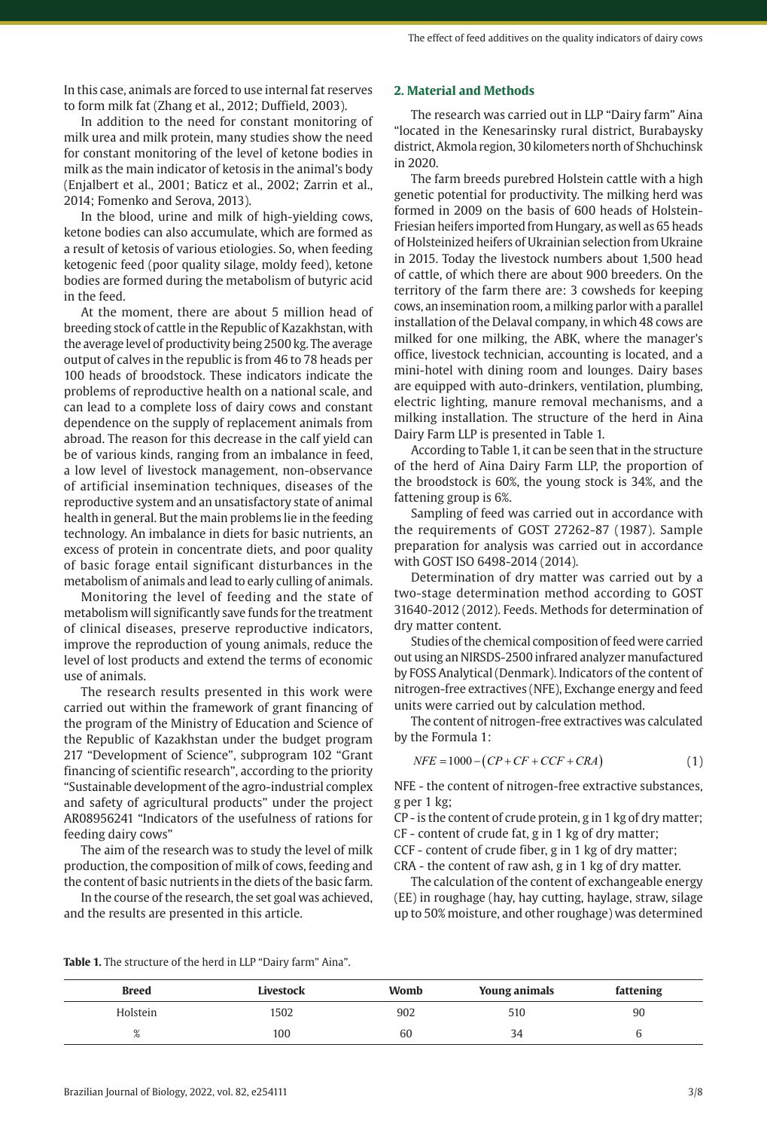In this case, animals are forced to use internal fat reserves to form milk fat (Zhang et al., 2012; Duffield, 2003).

In addition to the need for constant monitoring of milk urea and milk protein, many studies show the need for constant monitoring of the level of ketone bodies in milk as the main indicator of ketosis in the animal's body (Enjalbert et al., 2001; Baticz et al., 2002; Zarrin et al., 2014; Fomenko and Serova, 2013).

In the blood, urine and milk of high-yielding cows, ketone bodies can also accumulate, which are formed as a result of ketosis of various etiologies. So, when feeding ketogenic feed (poor quality silage, moldy feed), ketone bodies are formed during the metabolism of butyric acid in the feed.

At the moment, there are about 5 million head of breeding stock of cattle in the Republic of Kazakhstan, with the average level of productivity being 2500 kg. The average output of calves in the republic is from 46 to 78 heads per 100 heads of broodstock. These indicators indicate the problems of reproductive health on a national scale, and can lead to a complete loss of dairy cows and constant dependence on the supply of replacement animals from abroad. The reason for this decrease in the calf yield can be of various kinds, ranging from an imbalance in feed, a low level of livestock management, non-observance of artificial insemination techniques, diseases of the reproductive system and an unsatisfactory state of animal health in general. But the main problems lie in the feeding technology. An imbalance in diets for basic nutrients, an excess of protein in concentrate diets, and poor quality of basic forage entail significant disturbances in the metabolism of animals and lead to early culling of animals.

Monitoring the level of feeding and the state of metabolism will significantly save funds for the treatment of clinical diseases, preserve reproductive indicators, improve the reproduction of young animals, reduce the level of lost products and extend the terms of economic use of animals.

The research results presented in this work were carried out within the framework of grant financing of the program of the Ministry of Education and Science of the Republic of Kazakhstan under the budget program 217 "Development of Science", subprogram 102 "Grant financing of scientific research", according to the priority "Sustainable development of the agro-industrial complex and safety of agricultural products" under the project AR08956241 "Indicators of the usefulness of rations for feeding dairy cows"

The aim of the research was to study the level of milk production, the composition of milk of cows, feeding and the content of basic nutrients in the diets of the basic farm.

In the course of the research, the set goal was achieved, and the results are presented in this article.

## **2. Material and Methods**

The research was carried out in LLP "Dairy farm" Aina "located in the Kenesarinsky rural district, Burabaysky district, Akmola region, 30 kilometers north of Shchuchinsk in 2020.

The farm breeds purebred Holstein cattle with a high genetic potential for productivity. The milking herd was formed in 2009 on the basis of 600 heads of Holstein-Friesian heifers imported from Hungary, as well as 65 heads of Holsteinized heifers of Ukrainian selection from Ukraine in 2015. Today the livestock numbers about 1,500 head of cattle, of which there are about 900 breeders. On the territory of the farm there are: 3 cowsheds for keeping cows, an insemination room, a milking parlor with a parallel installation of the Delaval company, in which 48 cows are milked for one milking, the ABK, where the manager's office, livestock technician, accounting is located, and a mini-hotel with dining room and lounges. Dairy bases are equipped with auto-drinkers, ventilation, plumbing, electric lighting, manure removal mechanisms, and a milking installation. The structure of the herd in Aina Dairy Farm LLP is presented in Table 1.

According to Table 1, it can be seen that in the structure of the herd of Aina Dairy Farm LLP, the proportion of the broodstock is 60%, the young stock is 34%, and the fattening group is 6%.

Sampling of feed was carried out in accordance with the requirements of GOST 27262-87 (1987). Sample preparation for analysis was carried out in accordance with GOST ISO 6498-2014 (2014).

Determination of dry matter was carried out by a two-stage determination method according to GOST 31640-2012 (2012). Feeds. Methods for determination of dry matter content.

Studies of the chemical composition of feed were carried out using an NIRSDS-2500 infrared analyzer manufactured by FOSS Analytical (Denmark). Indicators of the content of nitrogen-free extractives (NFE), Exchange energy and feed units were carried out by calculation method.

The content of nitrogen-free extractives was calculated by the Formula 1:

$$
NFE = 1000 - (CP + CF + CCF + CRA)
$$
\n<sup>(1)</sup>

NFE - the content of nitrogen-free extractive substances, g per 1 kg;

CP - is the content of crude protein, g in 1 kg of dry matter; СF - content of crude fat, g in 1 kg of dry matter;

CCF - content of crude fiber, g in 1 kg of dry matter;

СRA - the content of raw ash, g in 1 kg of dry matter.

The calculation of the content of exchangeable energy (EE) in roughage (hay, hay cutting, haylage, straw, silage up to 50% moisture, and other roughage) was determined

| <b>Table 1.</b> The structure of the herd in LLP "Dairy farm" Aina". |  |
|----------------------------------------------------------------------|--|
|----------------------------------------------------------------------|--|

| <b>Breed</b> | Livestock | Womb | Young animals | fattening |
|--------------|-----------|------|---------------|-----------|
| Holstein     | 1502      | 902  | 510           | 90        |
| 6            | 100       | 60   | 34            |           |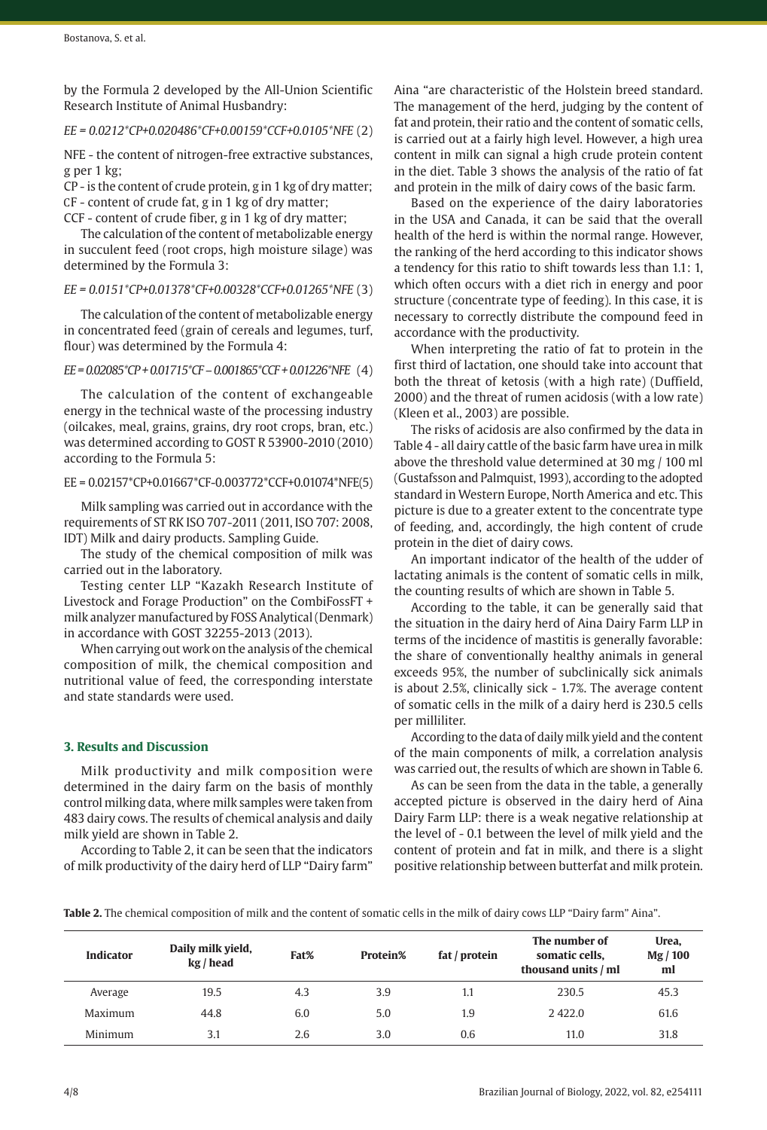by the Formula 2 developed by the All-Union Scientific Research Institute of Animal Husbandry:

## *EE = 0.0212\*CP+0.020486\*CF+0.00159\*CCF+0.0105\*NFE* (2)

NFE - the content of nitrogen-free extractive substances, g per 1 kg;

CP - is the content of crude protein, g in 1 kg of dry matter; СF - content of crude fat, g in 1 kg of dry matter;

CCF - content of crude fiber, g in 1 kg of dry matter;

The calculation of the content of metabolizable energy in succulent feed (root crops, high moisture silage) was determined by the Formula 3:

#### *EE = 0.0151\*CP+0.01378\*CF+0.00328\*CCF+0.01265\*NFE* (3)

The calculation of the content of metabolizable energy in concentrated feed (grain of cereals and legumes, turf, flour) was determined by the Formula 4:

*EE = 0.02085\*CP + 0.01715\*CF – 0.001865\*CCF + 0.01226\*NFE* (4)

The calculation of the content of exchangeable energy in the technical waste of the processing industry (oilcakes, meal, grains, grains, dry root crops, bran, etc.) was determined according to GOST R 53900-2010 (2010) according to the Formula 5:

#### EE = 0.02157\*CP+0.01667\*CF-0.003772\*CCF+0.01074\*NFE(5)

Milk sampling was carried out in accordance with the requirements of ST RK ISO 707-2011 (2011, ISO 707: 2008, IDT) Milk and dairy products. Sampling Guide.

The study of the chemical composition of milk was carried out in the laboratory.

Testing center LLP "Kazakh Research Institute of Livestock and Forage Production" on the CombiFossFT + milk analyzer manufactured by FOSS Analytical (Denmark) in accordance with GOST 32255-2013 (2013).

When carrying out work on the analysis of the chemical composition of milk, the chemical composition and nutritional value of feed, the corresponding interstate and state standards were used.

# **3. Results and Discussion**

Milk productivity and milk composition were determined in the dairy farm on the basis of monthly control milking data, where milk samples were taken from 483 dairy cows. The results of chemical analysis and daily milk yield are shown in Table 2.

According to Table 2, it can be seen that the indicators of milk productivity of the dairy herd of LLP "Dairy farm" Aina "are characteristic of the Holstein breed standard. The management of the herd, judging by the content of fat and protein, their ratio and the content of somatic cells, is carried out at a fairly high level. However, a high urea content in milk can signal a high crude protein content in the diet. Table 3 shows the analysis of the ratio of fat and protein in the milk of dairy cows of the basic farm.

Based on the experience of the dairy laboratories in the USA and Canada, it can be said that the overall health of the herd is within the normal range. However, the ranking of the herd according to this indicator shows a tendency for this ratio to shift towards less than 1.1: 1, which often occurs with a diet rich in energy and poor structure (concentrate type of feeding). In this case, it is necessary to correctly distribute the compound feed in accordance with the productivity.

When interpreting the ratio of fat to protein in the first third of lactation, one should take into account that both the threat of ketosis (with a high rate) (Duffield, 2000) and the threat of rumen acidosis (with a low rate) (Kleen et al., 2003) are possible.

The risks of acidosis are also confirmed by the data in Table 4 - all dairy cattle of the basic farm have urea in milk above the threshold value determined at 30 mg / 100 ml (Gustafsson and Palmquist, 1993), according to the adopted standard in Western Europe, North America and etc. This picture is due to a greater extent to the concentrate type of feeding, and, accordingly, the high content of crude protein in the diet of dairy cows.

An important indicator of the health of the udder of lactating animals is the content of somatic cells in milk, the counting results of which are shown in Table 5.

According to the table, it can be generally said that the situation in the dairy herd of Aina Dairy Farm LLP in terms of the incidence of mastitis is generally favorable: the share of conventionally healthy animals in general exceeds 95%, the number of subclinically sick animals is about 2.5%, clinically sick - 1.7%. The average content of somatic cells in the milk of a dairy herd is 230.5 cells per milliliter.

According to the data of daily milk yield and the content of the main components of milk, a correlation analysis was carried out, the results of which are shown in Table 6.

As can be seen from the data in the table, a generally accepted picture is observed in the dairy herd of Aina Dairy Farm LLP: there is a weak negative relationship at the level of - 0.1 between the level of milk yield and the content of protein and fat in milk, and there is a slight positive relationship between butterfat and milk protein.

**Table 2.** The chemical composition of milk and the content of somatic cells in the milk of dairy cows LLP "Dairy farm" Aina".

| <b>Indicator</b> | Daily milk yield,<br>kg / head | Fat% | Protein% | fat / protein | The number of<br>somatic cells,<br>thousand units / ml | Urea,<br>Mg / 100<br>ml |
|------------------|--------------------------------|------|----------|---------------|--------------------------------------------------------|-------------------------|
| Average          | 19.5                           | 4.3  | 3.9      | 1.1           | 230.5                                                  | 45.3                    |
| Maximum          | 44.8                           | 6.0  | 5.0      | 1.9           | 2422.0                                                 | 61.6                    |
| Minimum          | 3.1                            | 2.6  | 3.0      | 0.6           | 11.0                                                   | 31.8                    |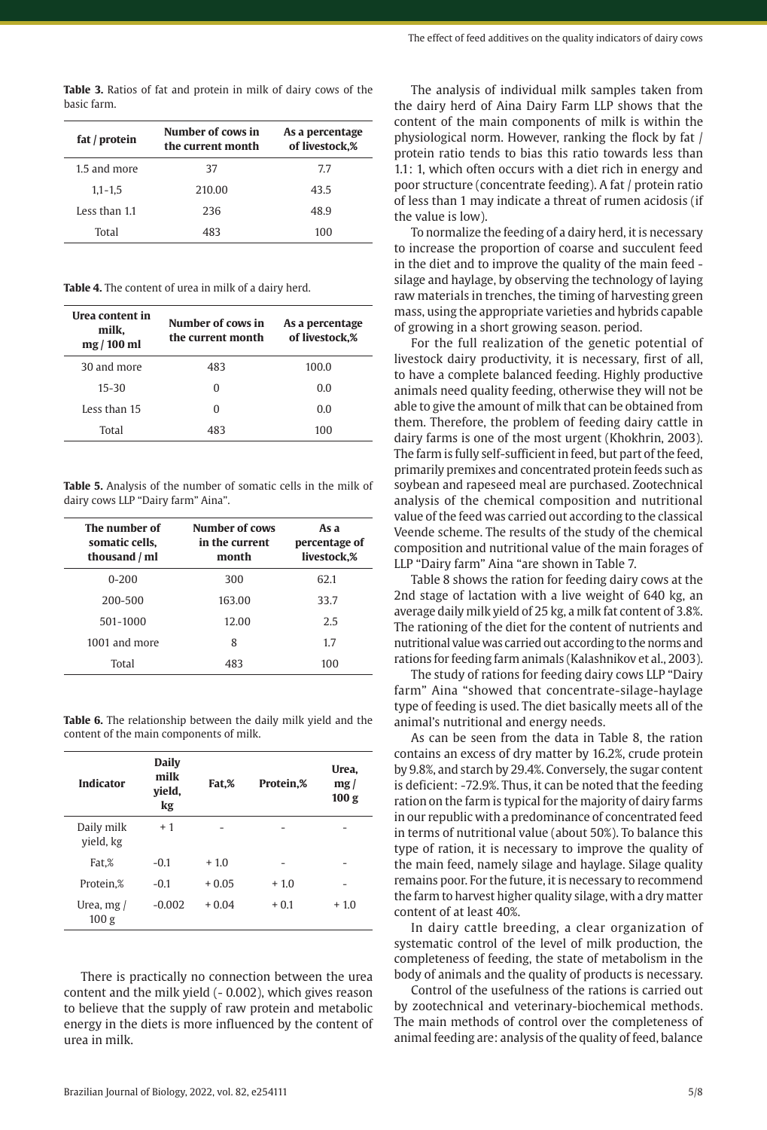| basic farm.   |                   |                         |
|---------------|-------------------|-------------------------|
| fat / protein | Number of cows in | As a percentage         |
|               | tha annual mainth | $\epsilon$ livesteels W |

**Table 3.** Ratios of fat and protein in milk of dairy cows of the

| fat / protein | the current month | of livestock,% |  |  |
|---------------|-------------------|----------------|--|--|
| 1.5 and more  | 37                | 7.7            |  |  |
| $1,1 - 1,5$   | 210.00            | 43.5           |  |  |
| Less than 1.1 | 236               | 48.9           |  |  |
| Total         | 483               | 100            |  |  |

**Table 4.** The content of urea in milk of a dairy herd.

| Urea content in    | Number of cows in | As a percentage |
|--------------------|-------------------|-----------------|
| milk,<br>mg/100 ml | the current month | of livestock,%  |
| 30 and more        | 483               | 100.0           |
| $15 - 30$          | U                 | 0.0             |
| Less than 15       | U                 | 0.0             |
| Total              | 483               | 100             |

**Table 5.** Analysis of the number of somatic cells in the milk of dairy cows LLP "Dairy farm" Aina".

| The number of<br>somatic cells.<br>thousand / ml | Number of cows<br>in the current<br>month | As a<br>percentage of<br>livestock.% |  |  |
|--------------------------------------------------|-------------------------------------------|--------------------------------------|--|--|
| $0 - 200$                                        | 300                                       | 62.1                                 |  |  |
| 200-500                                          | 163.00                                    | 33.7                                 |  |  |
| 501-1000                                         | 12.00                                     | 2.5                                  |  |  |
| 1001 and more                                    | 8                                         | 1.7                                  |  |  |
| Total                                            | 483                                       | 100                                  |  |  |

**Table 6.** The relationship between the daily milk yield and the content of the main components of milk.

| <b>Indicator</b>                            | <b>Daily</b><br>milk<br>vield,<br>kg |         | Protein,% | Urea.<br>mg/<br>100 <sub>g</sub> |
|---------------------------------------------|--------------------------------------|---------|-----------|----------------------------------|
| Daily milk<br>vield, kg                     | $+1$                                 |         |           |                                  |
| Fat.%                                       | $-0.1$                               | $+1.0$  |           |                                  |
| Protein,%                                   | $-0.1$                               | $+0.05$ | $+1.0$    |                                  |
| $-0.002$<br>Urea, $mg/$<br>100 <sub>g</sub> |                                      | $+0.04$ | $+0.1$    | $+1.0$                           |

There is practically no connection between the urea content and the milk yield (- 0.002), which gives reason to believe that the supply of raw protein and metabolic energy in the diets is more influenced by the content of urea in milk.

The analysis of individual milk samples taken from the dairy herd of Aina Dairy Farm LLP shows that the content of the main components of milk is within the physiological norm. However, ranking the flock by fat / protein ratio tends to bias this ratio towards less than 1.1: 1, which often occurs with a diet rich in energy and poor structure (concentrate feeding). A fat / protein ratio of less than 1 may indicate a threat of rumen acidosis (if the value is low).

To normalize the feeding of a dairy herd, it is necessary to increase the proportion of coarse and succulent feed in the diet and to improve the quality of the main feed silage and haylage, by observing the technology of laying raw materials in trenches, the timing of harvesting green mass, using the appropriate varieties and hybrids capable of growing in a short growing season. period.

For the full realization of the genetic potential of livestock dairy productivity, it is necessary, first of all, to have a complete balanced feeding. Highly productive animals need quality feeding, otherwise they will not be able to give the amount of milk that can be obtained from them. Therefore, the problem of feeding dairy cattle in dairy farms is one of the most urgent (Khokhrin, 2003). The farm is fully self-sufficient in feed, but part of the feed, primarily premixes and concentrated protein feeds such as soybean and rapeseed meal are purchased. Zootechnical analysis of the chemical composition and nutritional value of the feed was carried out according to the classical Veende scheme. The results of the study of the chemical composition and nutritional value of the main forages of LLP "Dairy farm" Aina "are shown in Table 7.

Table 8 shows the ration for feeding dairy cows at the 2nd stage of lactation with a live weight of 640 kg, an average daily milk yield of 25 kg, a milk fat content of 3.8%. The rationing of the diet for the content of nutrients and nutritional value was carried out according to the norms and rations for feeding farm animals (Kalashnikov et al., 2003).

The study of rations for feeding dairy cows LLP "Dairy farm" Aina "showed that concentrate-silage-haylage type of feeding is used. The diet basically meets all of the animal's nutritional and energy needs.

As can be seen from the data in Table 8, the ration contains an excess of dry matter by 16.2%, crude protein by 9.8%, and starch by 29.4%. Conversely, the sugar content is deficient: -72.9%. Thus, it can be noted that the feeding ration on the farm is typical for the majority of dairy farms in our republic with a predominance of concentrated feed in terms of nutritional value (about 50%). To balance this type of ration, it is necessary to improve the quality of the main feed, namely silage and haylage. Silage quality remains poor. For the future, it is necessary to recommend the farm to harvest higher quality silage, with a dry matter content of at least 40%.

In dairy cattle breeding, a clear organization of systematic control of the level of milk production, the completeness of feeding, the state of metabolism in the body of animals and the quality of products is necessary.

Control of the usefulness of the rations is carried out by zootechnical and veterinary-biochemical methods. The main methods of control over the completeness of animal feeding are: analysis of the quality of feed, balance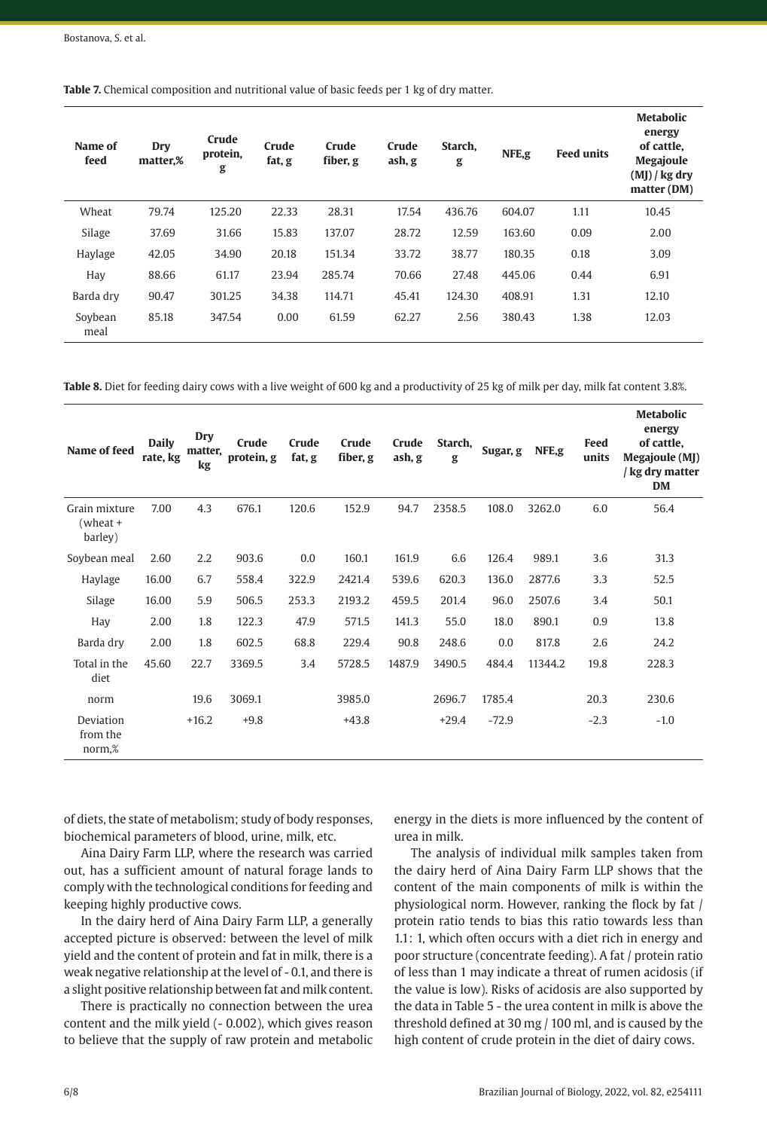| <b>Table 7.</b> Chemical composition and nutritional value of basic feeds per 1 kg of dry matter. |  |
|---------------------------------------------------------------------------------------------------|--|
|---------------------------------------------------------------------------------------------------|--|

| Name of<br>feed | Dry<br>matter.% | Crude<br>protein,<br>g | Crude<br>fat, g | Crude<br>fiber, g | Crude<br>ash, g | Starch.<br>g | NFE,g  | <b>Feed units</b> | <b>Metabolic</b><br>energy<br>of cattle.<br><b>Megajoule</b><br>$(MJ)$ / kg dry<br>matter (DM) |
|-----------------|-----------------|------------------------|-----------------|-------------------|-----------------|--------------|--------|-------------------|------------------------------------------------------------------------------------------------|
| Wheat           | 79.74           | 125.20                 | 22.33           | 28.31             | 17.54           | 436.76       | 604.07 | 1.11              | 10.45                                                                                          |
| Silage          | 37.69           | 31.66                  | 15.83           | 137.07            | 28.72           | 12.59        | 163.60 | 0.09              | 2.00                                                                                           |
| Haylage         | 42.05           | 34.90                  | 20.18           | 151.34            | 33.72           | 38.77        | 180.35 | 0.18              | 3.09                                                                                           |
| Hay             | 88.66           | 61.17                  | 23.94           | 285.74            | 70.66           | 27.48        | 445.06 | 0.44              | 6.91                                                                                           |
| Barda dry       | 90.47           | 301.25                 | 34.38           | 114.71            | 45.41           | 124.30       | 408.91 | 1.31              | 12.10                                                                                          |
| Soybean<br>meal | 85.18           | 347.54                 | 0.00            | 61.59             | 62.27           | 2.56         | 380.43 | 1.38              | 12.03                                                                                          |

**Table 8.** Diet for feeding dairy cows with a live weight of 600 kg and a productivity of 25 kg of milk per day, milk fat content 3.8%.

| Name of feed                         | <b>Daily</b><br>rate, kg | Dry<br>matter,<br>kg | Crude<br>protein, g | Crude<br>fat, g | Crude<br>fiber, g | Crude<br>ash, g | Starch,<br>g | Sugar, g | NFE,g   | Feed<br>units | <b>Metabolic</b><br>energy<br>of cattle,<br>Megajoule (MJ)<br>/ kg dry matter<br><b>DM</b> |
|--------------------------------------|--------------------------|----------------------|---------------------|-----------------|-------------------|-----------------|--------------|----------|---------|---------------|--------------------------------------------------------------------------------------------|
| Grain mixture<br>(wheat +<br>barley) | 7.00                     | 4.3                  | 676.1               | 120.6           | 152.9             | 94.7            | 2358.5       | 108.0    | 3262.0  | 6.0           | 56.4                                                                                       |
| Soybean meal                         | 2.60                     | 2.2                  | 903.6               | 0.0             | 160.1             | 161.9           | 6.6          | 126.4    | 989.1   | 3.6           | 31.3                                                                                       |
| Haylage                              | 16.00                    | 6.7                  | 558.4               | 322.9           | 2421.4            | 539.6           | 620.3        | 136.0    | 2877.6  | 3.3           | 52.5                                                                                       |
| Silage                               | 16.00                    | 5.9                  | 506.5               | 253.3           | 2193.2            | 459.5           | 201.4        | 96.0     | 2507.6  | 3.4           | 50.1                                                                                       |
| Hay                                  | 2.00                     | 1.8                  | 122.3               | 47.9            | 571.5             | 141.3           | 55.0         | 18.0     | 890.1   | 0.9           | 13.8                                                                                       |
| Barda dry                            | 2.00                     | 1.8                  | 602.5               | 68.8            | 229.4             | 90.8            | 248.6        | 0.0      | 817.8   | 2.6           | 24.2                                                                                       |
| Total in the<br>diet                 | 45.60                    | 22.7                 | 3369.5              | 3.4             | 5728.5            | 1487.9          | 3490.5       | 484.4    | 11344.2 | 19.8          | 228.3                                                                                      |
| norm                                 |                          | 19.6                 | 3069.1              |                 | 3985.0            |                 | 2696.7       | 1785.4   |         | 20.3          | 230.6                                                                                      |
| Deviation<br>from the<br>norm,%      |                          | $+16.2$              | $+9.8$              |                 | $+43.8$           |                 | $+29.4$      | $-72.9$  |         | $-2.3$        | $-1.0$                                                                                     |

of diets, the state of metabolism; study of body responses, biochemical parameters of blood, urine, milk, etc.

Aina Dairy Farm LLP, where the research was carried out, has a sufficient amount of natural forage lands to comply with the technological conditions for feeding and keeping highly productive cows.

In the dairy herd of Aina Dairy Farm LLP, a generally accepted picture is observed: between the level of milk yield and the content of protein and fat in milk, there is a weak negative relationship at the level of - 0.1, and there is a slight positive relationship between fat and milk content.

There is practically no connection between the urea content and the milk yield (- 0.002), which gives reason to believe that the supply of raw protein and metabolic

energy in the diets is more influenced by the content of urea in milk.

The analysis of individual milk samples taken from the dairy herd of Aina Dairy Farm LLP shows that the content of the main components of milk is within the physiological norm. However, ranking the flock by fat / protein ratio tends to bias this ratio towards less than 1.1: 1, which often occurs with a diet rich in energy and poor structure (concentrate feeding). A fat / protein ratio of less than 1 may indicate a threat of rumen acidosis (if the value is low). Risks of acidosis are also supported by the data in Table 5 - the urea content in milk is above the threshold defined at 30 mg / 100 ml, and is caused by the high content of crude protein in the diet of dairy cows.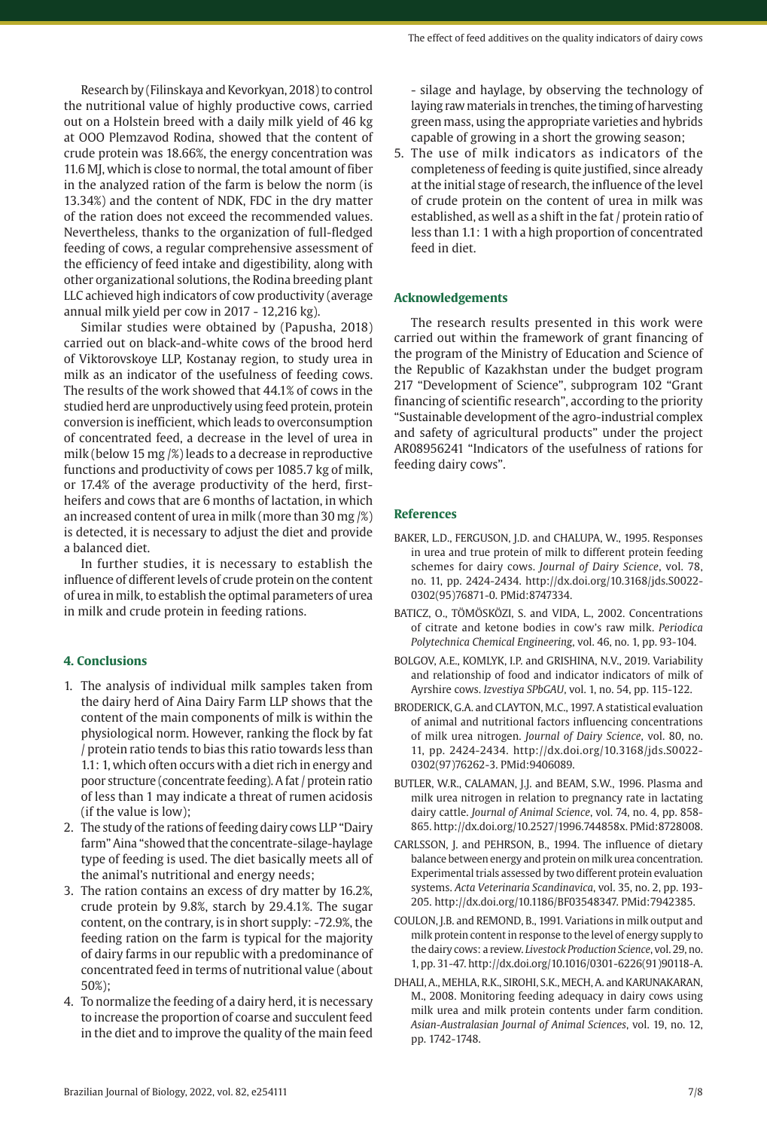Research by (Filinskaya and Kevorkyan, 2018) to control the nutritional value of highly productive cows, carried out on a Holstein breed with a daily milk yield of 46 kg at OOO Plemzavod Rodina, showed that the content of crude protein was 18.66%, the energy concentration was 11.6 MJ, which is close to normal, the total amount of fiber in the analyzed ration of the farm is below the norm (is 13.34%) and the content of NDK, FDC in the dry matter of the ration does not exceed the recommended values. Nevertheless, thanks to the organization of full-fledged feeding of cows, a regular comprehensive assessment of

the efficiency of feed intake and digestibility, along with other organizational solutions, the Rodina breeding plant LLC achieved high indicators of cow productivity (average annual milk yield per cow in 2017 - 12,216 kg). Similar studies were obtained by (Papusha, 2018)

carried out on black-and-white cows of the brood herd of Viktorovskoye LLP, Kostanay region, to study urea in milk as an indicator of the usefulness of feeding cows. The results of the work showed that 44.1% of cows in the studied herd are unproductively using feed protein, protein conversion is inefficient, which leads to overconsumption of concentrated feed, a decrease in the level of urea in milk (below 15 mg /%) leads to a decrease in reproductive functions and productivity of cows per 1085.7 kg of milk, or 17.4% of the average productivity of the herd, firstheifers and cows that are 6 months of lactation, in which an increased content of urea in milk (more than 30 mg /%) is detected, it is necessary to adjust the diet and provide a balanced diet.

In further studies, it is necessary to establish the influence of different levels of crude protein on the content of urea in milk, to establish the optimal parameters of urea in milk and crude protein in feeding rations.

# **4. Conclusions**

- 1. The analysis of individual milk samples taken from the dairy herd of Aina Dairy Farm LLP shows that the content of the main components of milk is within the physiological norm. However, ranking the flock by fat / protein ratio tends to bias this ratio towards less than 1.1: 1, which often occurs with a diet rich in energy and poor structure (concentrate feeding). A fat / protein ratio of less than 1 may indicate a threat of rumen acidosis (if the value is low);
- 2. The study of the rations of feeding dairy cows LLP "Dairy farm" Aina "showed that the concentrate-silage-haylage type of feeding is used. The diet basically meets all of the animal's nutritional and energy needs;
- 3. The ration contains an excess of dry matter by 16.2%, crude protein by 9.8%, starch by 29.4.1%. The sugar content, on the contrary, is in short supply: -72.9%, the feeding ration on the farm is typical for the majority of dairy farms in our republic with a predominance of concentrated feed in terms of nutritional value (about 50%);
- 4. To normalize the feeding of a dairy herd, it is necessary to increase the proportion of coarse and succulent feed in the diet and to improve the quality of the main feed

- silage and haylage, by observing the technology of laying raw materials in trenches, the timing of harvesting green mass, using the appropriate varieties and hybrids capable of growing in a short the growing season;

5. The use of milk indicators as indicators of the completeness of feeding is quite justified, since already at the initial stage of research, the influence of the level of crude protein on the content of urea in milk was established, as well as a shift in the fat / protein ratio of less than 1.1: 1 with a high proportion of concentrated feed in diet.

#### **Acknowledgements**

The research results presented in this work were carried out within the framework of grant financing of the program of the Ministry of Education and Science of the Republic of Kazakhstan under the budget program 217 "Development of Science", subprogram 102 "Grant financing of scientific research", according to the priority "Sustainable development of the agro-industrial complex and safety of agricultural products" under the project AR08956241 "Indicators of the usefulness of rations for feeding dairy cows".

#### **References**

- BAKER, L.D., FERGUSON, J.D. and CHALUPA, W., 1995. Responses in urea and true protein of milk to different protein feeding schemes for dairy cows. *Journal of Dairy Science*, vol. 78, no. 11, pp. 2424-2434. [http://dx.doi.org/10.3168/jds.S0022-](https://doi.org/10.3168/jds.S0022-0302(95)76871-0) [0302\(95\)76871-0.](https://doi.org/10.3168/jds.S0022-0302(95)76871-0) [PMid:8747334.](https://www.ncbi.nlm.nih.gov/entrez/query.fcgi?cmd=Retrieve&db=PubMed&list_uids=8747334&dopt=Abstract)
- BATICZ, O., TÖMÖSKÖZI, S. and VIDA, L., 2002. Concentrations of citrate and ketone bodies in cow's raw milk. *Periodica Polytechnica Chemical Engineering*, vol. 46, no. 1, pp. 93-104.
- BOLGOV, A.E., KOMLYK, I.P. and GRISHINA, N.V., 2019. Variability and relationship of food and indicator indicators of milk of Ayrshire cows. *Izvestiya SPbGAU*, vol. 1, no. 54, pp. 115-122.
- BRODERICK, G.A. and CLAYTON, M.C., 1997. A statistical evaluation of animal and nutritional factors influencing concentrations of milk urea nitrogen. *Journal of Dairy Science*, vol. 80, no. 11, pp. 2424-2434. [http://dx.doi.org/10.3168/jds.S0022-](https://doi.org/10.3168/jds.S0022-0302(97)76262-3) [0302\(97\)76262-3](https://doi.org/10.3168/jds.S0022-0302(97)76262-3)[. PMid:9406089.](https://www.ncbi.nlm.nih.gov/entrez/query.fcgi?cmd=Retrieve&db=PubMed&list_uids=9406089&dopt=Abstract)
- BUTLER, W.R., CALAMAN, J.J. and BEAM, S.W., 1996. Plasma and milk urea nitrogen in relation to pregnancy rate in lactating dairy cattle. *Journal of Animal Science*, vol. 74, no. 4, pp. 858- 865. [http://dx.doi.org/10.2527/1996.744858x](https://doi.org/10.2527/1996.744858x). [PMid:8728008.](https://www.ncbi.nlm.nih.gov/entrez/query.fcgi?cmd=Retrieve&db=PubMed&list_uids=8728008&dopt=Abstract)
- CARLSSON, J. and PEHRSON, B., 1994. The influence of dietary balance between energy and protein on milk urea concentration. Experimental trials assessed by two different protein evaluation systems. *Acta Veterinaria Scandinavica*, vol. 35, no. 2, pp. 193- 205. [http://dx.doi.org/10.1186/BF03548347.](https://doi.org/10.1186/BF03548347) [PMid:7942385.](https://www.ncbi.nlm.nih.gov/entrez/query.fcgi?cmd=Retrieve&db=PubMed&list_uids=7942385&dopt=Abstract)
- COULON, J.B. and REMOND, B., 1991. Variations in milk output and milk protein content in response to the level of energy supply to the dairy cows: a review. *Livestock Production Science*, vol. 29, no. 1, pp. 31-47. [http://dx.doi.org/10.1016/0301-6226\(91\)90118-A](https://doi.org/10.1016/0301-6226(91)90118-A).
- DHALI, A., MEHLA, R.K., SIROHI, S.K., MECH, A. and KARUNAKARAN, M., 2008. Monitoring feeding adequacy in dairy cows using milk urea and milk protein contents under farm condition. *Asian-Australasian Journal of Animal Sciences*, vol. 19, no. 12, pp. 1742-1748.